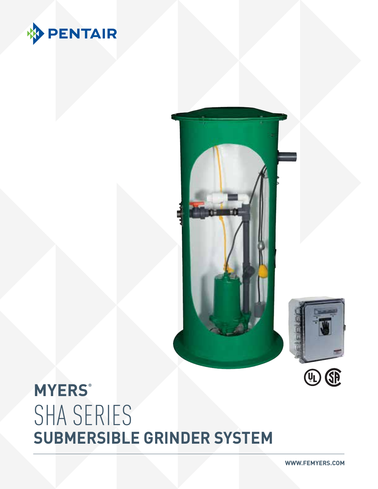







# **MYERS®** SHA SERIES **SUBMERSIBLE GRINDER SYSTEM**

**WWW.FEMYERS.COM**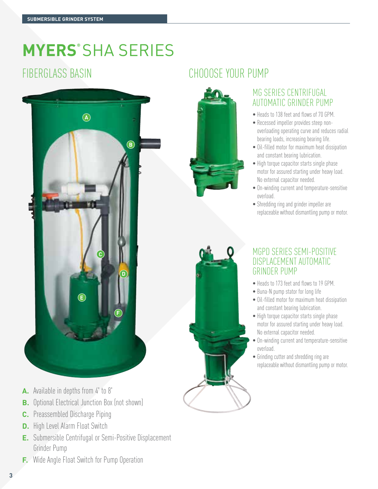# **MYERS®** SHA SERIES



- **A.** Available in depths from 4' to 8'
- **B.** Optional Electrical Junction Box (not shown)
- **C.** Preassembled Discharge Piping
- **D.** High Level Alarm Float Switch
- **E.** Submersible Centrifugal or Semi-Positive Displacement Grinder Pump
- **F.** Wide Angle Float Switch for Pump Operation

# FIBERGLASS BASIN CHOOOSE YOUR PUMP



#### MG Series Centrifugal Automatic Grinder Pump

- Heads to 138 feet and flows of 70 GPM.
- Recessed impeller provides steep nonoverloading operating curve and reduces radial bearing loads, increasing bearing life.
- Oil-filled motor for maximum heat dissipation and constant bearing lubrication.
- High torque capacitor starts single phase motor for assured starting under heavy load. No external capacitor needed.
- On-winding current and temperature-sensitive overload.
- Shredding ring and grinder impeller are replaceable without dismantling pump or motor.

#### MGPD SERIES SEMI-POSITIVE DISPLACEMENT AUTOMATIC GRINDER PUMP

- Heads to 173 feet and flows to 19 GPM.
- Buna-N pump stator for long life
- Oil-filled motor for maximum heat dissipation and constant bearing lubrication.
- High torque capacitor starts single phase motor for assured starting under heavy load. No external capacitor needed.
- On-winding current and temperature-sensitive overload.
- Grinding cutter and shredding ring are replaceable without dismantling pump or motor.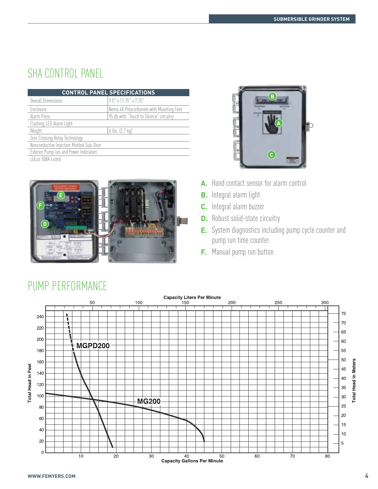## SHA CONTROL PANEL

|                                               | <b>CONTROL PANEL SPECIFICATIONS</b>      |
|-----------------------------------------------|------------------------------------------|
| Overall Dimensions                            | $9.5"$ x 11.75" x 7.25"                  |
| Enclosure                                     | Nema 4X Polycarbonate with Mounting Feet |
| Alarm Piezo                                   | 95 db with "Touch to Silence" circuitry  |
| Flashing LED Alarm Light                      |                                          |
| Weight                                        | 6 lbs. (2.7 kg)                          |
| Zero Crossing Relay Technology                |                                          |
| Nonconductive Injection Molded Sub-Door       |                                          |
| <b>Exterior Pump run and Power Indicators</b> |                                          |
| cUI us 508A Listed                            |                                          |





- **A.** Hand contact sensor for alarm control
- **B.** Integral alarm light
- **C.** Integral alarm buzzer
- **D.** Robust solid-state circuitry
- **E.** System diagnostics including pump cycle counter and pump run time counter
- **F.** Manual pump run button



## PUMP PERFORMANCE